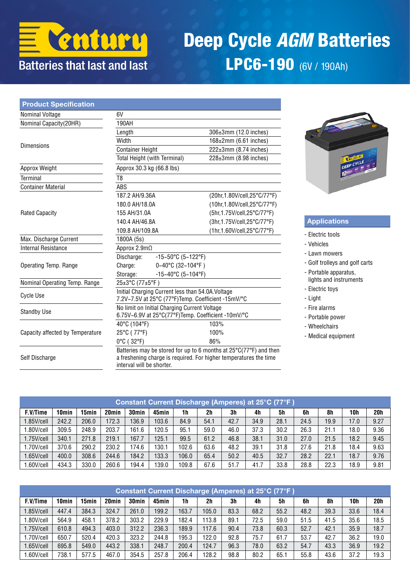

# Deep Cycle *AGM* Batteries LPC6-190 (6V / 190Ah)

| <b>Product Specification</b>     |                                                                                                         |                               |                                                                                                                                        |  |  |  |  |  |
|----------------------------------|---------------------------------------------------------------------------------------------------------|-------------------------------|----------------------------------------------------------------------------------------------------------------------------------------|--|--|--|--|--|
| Nominal Voltage                  | 6V                                                                                                      |                               |                                                                                                                                        |  |  |  |  |  |
| Nominal Capacity(20HR)           | 190AH                                                                                                   |                               |                                                                                                                                        |  |  |  |  |  |
|                                  | Length                                                                                                  |                               | 306±3mm (12.0 inches)                                                                                                                  |  |  |  |  |  |
| <b>Dimensions</b>                | Width                                                                                                   |                               | 168±2mm (6.61 inches)                                                                                                                  |  |  |  |  |  |
|                                  | <b>Container Height</b>                                                                                 |                               | 222±3mm (8.74 inches)                                                                                                                  |  |  |  |  |  |
|                                  | Total Height (with Terminal)                                                                            |                               | 228±3mm (8.98 inches)                                                                                                                  |  |  |  |  |  |
| Approx Weight                    | Approx 30.3 kg (66.8 lbs)                                                                               |                               |                                                                                                                                        |  |  |  |  |  |
| Terminal                         | T8                                                                                                      |                               |                                                                                                                                        |  |  |  |  |  |
| <b>Container Material</b>        | ABS                                                                                                     |                               |                                                                                                                                        |  |  |  |  |  |
|                                  | 187.2 AH/9.36A                                                                                          |                               | (20hr, 1.80V/cell, 25°C/77°F)                                                                                                          |  |  |  |  |  |
|                                  | 180.0 AH/18.0A                                                                                          |                               | (10hr, 1.80V/cell, 25°C/77°F)                                                                                                          |  |  |  |  |  |
| <b>Rated Capacity</b>            | 155 AH/31.0A                                                                                            |                               | (5hr, 1.75V/cell, 25°C/77°F)                                                                                                           |  |  |  |  |  |
|                                  | 140.4 AH/46.8A                                                                                          |                               | (3hr, 1.75V/cell, 25°C/77°F)                                                                                                           |  |  |  |  |  |
|                                  | 109.8 AH/109.8A                                                                                         |                               | (1hr, 1.60V/cell, 25°C/77°F)                                                                                                           |  |  |  |  |  |
| Max. Discharge Current           | 1800A (5s)                                                                                              |                               |                                                                                                                                        |  |  |  |  |  |
| <b>Internal Resistance</b>       | Approx 2.9mΩ                                                                                            |                               |                                                                                                                                        |  |  |  |  |  |
|                                  | Discharge:                                                                                              | $-15-50^{\circ}$ C (5~122°F)  |                                                                                                                                        |  |  |  |  |  |
| Operating Temp. Range            | Charge:                                                                                                 | $0 - 40^{\circ}$ C (32~104°F) |                                                                                                                                        |  |  |  |  |  |
|                                  | Storage:                                                                                                | $-15-40^{\circ}$ C (5~104°F)  |                                                                                                                                        |  |  |  |  |  |
| Nominal Operating Temp. Range    | 25±3°C (77±5°F)                                                                                         |                               |                                                                                                                                        |  |  |  |  |  |
| Cycle Use                        | Initial Charging Current less than 54.0A. Voltage<br>7.2V~7.5V at 25°C (77°F)Temp. Coefficient -15mV/°C |                               |                                                                                                                                        |  |  |  |  |  |
| <b>Standby Use</b>               | No limit on Initial Charging Current Voltage<br>6.75V~6.9V at 25°C(77°F)Temp. Coefficient -10mV/°C      |                               |                                                                                                                                        |  |  |  |  |  |
|                                  | 40°C (104°F)                                                                                            |                               | 103%                                                                                                                                   |  |  |  |  |  |
| Capacity affected by Temperature | 25°C (77°F)                                                                                             |                               | 100%                                                                                                                                   |  |  |  |  |  |
|                                  | $0^{\circ}$ C (32 $^{\circ}$ F)                                                                         |                               | 86%                                                                                                                                    |  |  |  |  |  |
| Self Discharge                   | interval will be shorter.                                                                               |                               | Batteries may be stored for up to 6 months at 25°C(77°F) and then<br>a freshening charge is required. For higher temperatures the time |  |  |  |  |  |



#### Applications

- Electric tools
- Vehicles
- Lawn mowers
- Golf trolleys and golf carts
- Portable apparatus, lights and instruments
- Electric toys
- Light
- Fire alarms
- Portable power
- Wheelchairs
- Medical equipment

| Constant Current Discharge (Amperes) at 25°C (77°F) |                   |       |                   |                   |       |       |      |      |      |      |      |      |      |      |
|-----------------------------------------------------|-------------------|-------|-------------------|-------------------|-------|-------|------|------|------|------|------|------|------|------|
| F.V/Time                                            | 10 <sub>min</sub> | 5min  | 20 <sub>min</sub> | 30 <sub>min</sub> | 45min | 1h    | 2h   | 3h   | 4h   | 5h   | 6h   | 8h   | 10h  | 20h  |
| 1.85V/cell                                          | 242.2             | 206.0 | 172.3             | 136.9             | 103.6 | 84.9  | 54.1 | 42.7 | 34.9 | 28.1 | 24.5 | 19.9 | 17.0 | 9.27 |
| .80V/cell                                           | 309.5             | 248.9 | 203.7             | 161.6             | 120.5 | 95.1  | 59.0 | 46.0 | 37.3 | 30.2 | 26.3 | 21.1 | 18.0 | 9.36 |
| 1.75V/cell                                          | 340.1             | 271.8 | 219.1             | 167.7             | 125.1 | 99.5  | 61.2 | 46.8 | 38.1 | 31.0 | 27.0 | 21.5 | 18.2 | 9.45 |
| 1.70V/cell                                          | 370.6             | 290.2 | 230.2             | 174.6             | 130.1 | 102.6 | 63.6 | 48.2 | 39.1 | 31.8 | 27.6 | 21.8 | 18.4 | 9.63 |
| .65V/cell                                           | 400.0             | 308.6 | 244.6             | 184.2             | 133.3 | 106.0 | 65.4 | 50.2 | 40.5 | 32.7 | 28.2 | 22.1 | 18.7 | 9.76 |
| .60V/cell                                           | 434.3             | 330.0 | 260.6             | 194.4             | 139.0 | 109.8 | 67.6 | 51.7 | 41.7 | 33.8 | 28.8 | 22.3 | 18.9 | 9.81 |

| Constant Current Discharge (Amperes) at 25°C (77°F) |       |       |                   |                   |       |       |       |      |      |                |      |      |      |      |
|-----------------------------------------------------|-------|-------|-------------------|-------------------|-------|-------|-------|------|------|----------------|------|------|------|------|
| F.V/Time                                            | 10min | I5min | 20 <sub>min</sub> | 30 <sub>min</sub> | 45min | 1h    | 2h    | 3h   | 4h   | 5 <sub>h</sub> | 6h   | 8h   | 10h  | 20h  |
| 1.85V/cell                                          | 447.4 | 384.3 | 324.7             | 261.0             | 199.2 | 163.7 | 105.0 | 83.3 | 68.2 | 55.2           | 48.2 | 39.3 | 33.6 | 18.4 |
| 1.80V/cell                                          | 564.9 | 458.1 | 378.2             | 303.2             | 229.9 | 182.4 | 113.8 | 89.1 | 72.5 | 59.0           | 51.5 | 41.5 | 35.6 | 18.5 |
| $1.75$ V/cell                                       | 610.8 | 494.3 | 403.0             | 312.2             | 236.3 | 189.9 | 117.6 | 90.4 | 73.8 | 60.3           | 52.7 | 42.1 | 35.9 | 18.7 |
| 1.70V/cell                                          | 650.7 | 520.4 | 420.3             | 323.2             | 244.8 | 195.3 | 122.0 | 92.8 | 75.7 | 61.7           | 53.7 | 42.7 | 36.2 | 19.0 |
| 1.65V/cell                                          | 695.8 | 549.0 | 443.2             | 338.1             | 248.7 | 200.4 | 124.7 | 96.3 | 78.0 | 63.2           | 54.7 | 43.3 | 36.9 | 19.2 |
| .60V/cell                                           | 738.1 | 577.5 | 467.0             | 354.5             | 257.8 | 206.4 | 128.2 | 98.8 | 80.2 | 65.1           | 55.8 | 43.6 | 37.2 | 19.3 |